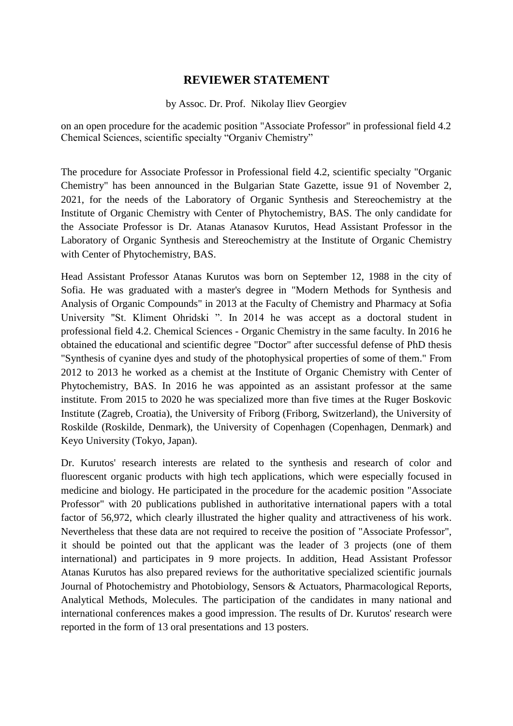## **REVIEWER STATEMENT**

## by Assoc. Dr. Prof. Nikolay Iliev Georgiev

on an open procedure for the academic position "Associate Professor" in professional field 4.2 Chemical Sciences, scientific specialty "Organiv Chemistry"

The procedure for Associate Professor in Professional field 4.2, scientific specialty "Organic Chemistry" has been announced in the Bulgarian State Gazette, issue 91 of November 2, 2021, for the needs of the Laboratory of Organic Synthesis and Stereochemistry at the Institute of Organic Chemistry with Center of Phytochemistry, BAS. The only candidate for the Associate Professor is Dr. Atanas Atanasov Kurutos, Head Assistant Professor in the Laboratory of Organic Synthesis and Stereochemistry at the Institute of Organic Chemistry with Center of Phytochemistry, BAS.

Head Assistant Professor Atanas Kurutos was born on September 12, 1988 in the city of Sofia. He was graduated with a master's degree in "Modern Methods for Synthesis and Analysis of Organic Compounds" in 2013 at the Faculty of Chemistry and Pharmacy at Sofia University "St. Kliment Ohridski ". In 2014 he was accept as a doctoral student in professional field 4.2. Chemical Sciences - Organic Chemistry in the same faculty. In 2016 he obtained the educational and scientific degree "Doctor" after successful defense of PhD thesis "Synthesis of cyanine dyes and study of the photophysical properties of some of them." From 2012 to 2013 he worked as a chemist at the Institute of Organic Chemistry with Center of Phytochemistry, BAS. In 2016 he was appointed as an assistant professor at the same institute. From 2015 to 2020 he was specialized more than five times at the Ruger Boskovic Institute (Zagreb, Croatia), the University of Friborg (Friborg, Switzerland), the University of Roskilde (Roskilde, Denmark), the University of Copenhagen (Copenhagen, Denmark) and Keyo University (Tokyo, Japan).

Dr. Kurutos' research interests are related to the synthesis and research of color and fluorescent organic products with high tech applications, which were especially focused in medicine and biology. He participated in the procedure for the academic position "Associate Professor" with 20 publications published in authoritative international papers with a total factor of 56,972, which clearly illustrated the higher quality and attractiveness of his work. Nevertheless that these data are not required to receive the position of "Associate Professor", it should be pointed out that the applicant was the leader of 3 projects (one of them international) and participates in 9 more projects. In addition, Head Assistant Professor Atanas Kurutos has also prepared reviews for the authoritative specialized scientific journals Journal of Photochemistry and Photobiology, Sensors & Actuators, Pharmacological Reports, Analytical Methods, Molecules. The participation of the candidates in many national and international conferences makes a good impression. The results of Dr. Kurutos' research were reported in the form of 13 oral presentations and 13 posters.